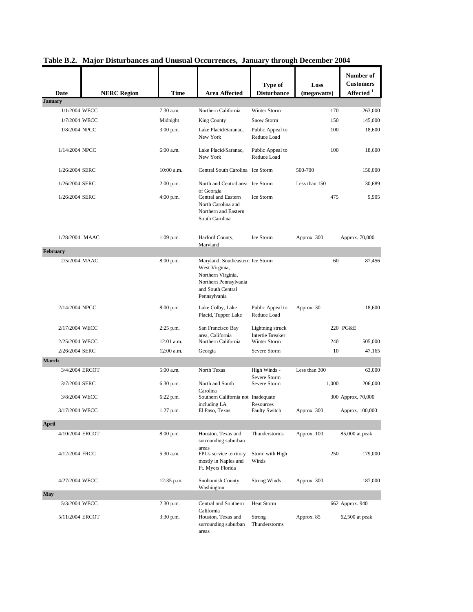|                 |                    |             |                                                                                                                                        | Type of                                     | Loss          |       | Number of<br><b>Customers</b> |
|-----------------|--------------------|-------------|----------------------------------------------------------------------------------------------------------------------------------------|---------------------------------------------|---------------|-------|-------------------------------|
| Date            | <b>NERC Region</b> | Time        | Area Affected                                                                                                                          | <b>Disturbance</b>                          | (megawatts)   |       | Affected <sup>1</sup>         |
| <b>January</b>  |                    |             |                                                                                                                                        |                                             |               |       |                               |
| 1/1/2004 WECC   |                    | 7:30 a.m.   | Northern California                                                                                                                    | Winter Storm                                |               | 170   | 263,000                       |
| 1/7/2004 WECC   |                    | Midnight    | <b>King County</b>                                                                                                                     | Snow Storm                                  |               | 150   | 145,000                       |
| 1/8/2004 NPCC   |                    | 3:00 p.m.   | Lake Placid/Saranac,<br>New York                                                                                                       | Public Appeal to<br>Reduce Load             |               | 100   | 18,600                        |
| 1/14/2004 NPCC  |                    | 6:00 a.m.   | Lake Placid/Saranac,<br>New York                                                                                                       | Public Appeal to<br>Reduce Load             |               | 100   | 18,600                        |
| 1/26/2004 SERC  |                    | 10:00 a.m.  | Central South Carolina Ice Storm                                                                                                       |                                             | 500-700       |       | 150,000                       |
| 1/26/2004 SERC  |                    | $2:00$ p.m. | North and Central area Ice Storm<br>of Georgia                                                                                         |                                             | Less than 150 |       | 30,689                        |
| 1/26/2004 SERC  |                    | $4:00$ p.m. | Central and Eastern<br>North Carolina and<br>Northern and Eastern<br>South Carolina                                                    | Ice Storm                                   |               | 475   | 9,905                         |
| 1/28/2004 MAAC  |                    | $1:09$ p.m. | Harford County,<br>Maryland                                                                                                            | Ice Storm                                   | Approx. 300   |       | Approx. 70,000                |
| February        |                    |             |                                                                                                                                        |                                             |               |       |                               |
| 2/5/2004 MAAC   |                    | 8:00 p.m.   | Maryland, Southeastern Ice Storm<br>West Virginia,<br>Northern Virginia,<br>Northern Pennsylvania<br>and South Central<br>Pennsylvania |                                             |               | 60    | 87,456                        |
| 2/14/2004 NPCC  |                    | $8:00$ p.m. | Lake Colby, Lake<br>Placid, Tupper Lake                                                                                                | Public Appeal to<br>Reduce Load             | Approx. 30    |       | 18,600                        |
| 2/17/2004 WECC  |                    | $2:25$ p.m. | San Francisco Bay<br>area, California                                                                                                  | Lightning struck<br><b>Intertie Breaker</b> |               |       | 220 PG&E                      |
| 2/25/2004 WECC  |                    | 12:01 a.m.  | Northern California                                                                                                                    | Winter Storm                                |               | 240   | 505,000                       |
| 2/26/2004 SERC  |                    | 12:00 a.m.  | Georgia                                                                                                                                | Severe Storm                                |               | 10    | 47,165                        |
| <b>March</b>    |                    |             |                                                                                                                                        |                                             |               |       |                               |
| 3/4/2004 ERCOT  |                    | 5:00 a.m.   | North Texas                                                                                                                            | High Winds -<br>Severe Storm                | Less than 300 |       | 63,000                        |
| 3/7/2004 SERC   |                    | 6:30 p.m.   | North and South<br>Carolina                                                                                                            | Severe Storm                                |               | 1,000 | 206,000                       |
| 3/8/2004 WECC   |                    | 6:22 p.m.   | Southern California not Inadequate<br>including LA                                                                                     | Resources                                   |               |       | 300 Approx. 70,000            |
| 3/17/2004 WECC  |                    | $1:27$ p.m. | El Paso, Texas                                                                                                                         | <b>Faulty Switch</b>                        | Approx. 300   |       | Approx. 100,000               |
| <b>April</b>    |                    |             |                                                                                                                                        |                                             |               |       |                               |
| 4/10/2004 ERCOT |                    | 8:00 p.m.   | Houston, Texas and<br>surrounding suburban                                                                                             | Thunderstorms                               | Approx. 100   |       | 85,000 at peak                |
| 4/12/2004 FRCC  |                    | 5:30 a.m.   | areas<br>FPL's service territory<br>mostly in Naples and<br>Ft. Myers Florida                                                          | Storm with High<br>Winds                    |               | 250   | 179,000                       |
| 4/27/2004 WECC  |                    | 12:35 p.m.  | Snohomish County<br>Washington                                                                                                         | <b>Strong Winds</b>                         | Approx. 300   |       | 187,000                       |
| <b>May</b>      |                    |             |                                                                                                                                        |                                             |               |       |                               |
| 5/3/2004 WECC   |                    | 2:30 p.m.   | Central and Southern<br>California                                                                                                     | Heat Storm                                  |               |       | 662 Approx. 940               |
| 5/11/2004 ERCOT |                    | 3:30 p.m.   | Houston, Texas and<br>surrounding suburban<br>areas                                                                                    | Strong<br>Thunderstorms                     | Approx. 85    |       | $62,500$ at peak              |

**Table B.2. Major Disturbances and Unusual Occurrences, January through December 2004**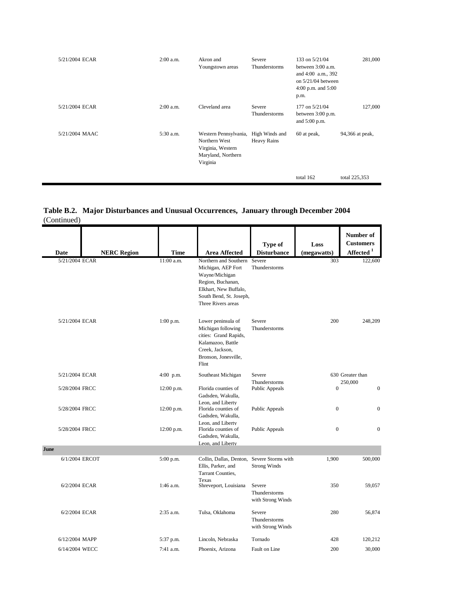| 5/21/2004 ECAR | 2:00 a.m.   | Akron and<br>Youngstown areas                                                                 | Severe<br>Thunderstorms              | 133 on 5/21/04<br>between 3:00 a.m.<br>and 4:00 a.m., 392<br>on $5/21/04$ between<br>4:00 p.m. and $5:00$<br>p.m. | 281,000         |
|----------------|-------------|-----------------------------------------------------------------------------------------------|--------------------------------------|-------------------------------------------------------------------------------------------------------------------|-----------------|
| 5/21/2004 ECAR | $2:00$ a.m. | Cleveland area                                                                                | Severe<br>Thunderstorms              | 177 on 5/21/04<br>between 3:00 p.m.<br>and 5:00 p.m.                                                              | 127,000         |
| 5/21/2004 MAAC | 5:30 a.m.   | Western Pennsylvania,<br>Northern West<br>Virginia, Western<br>Maryland, Northern<br>Virginia | High Winds and<br><b>Heavy Rains</b> | 60 at peak,                                                                                                       | 94,366 at peak, |
|                |             |                                                                                               |                                      | total 162                                                                                                         | total 225,353   |

|             | Table B.2. Major Disturbances and Unusual Occurrences, January through December 2004 |  |  |  |
|-------------|--------------------------------------------------------------------------------------|--|--|--|
| (Continued) |                                                                                      |  |  |  |
|             |                                                                                      |  |  |  |

| <b>Date</b>    | <b>NERC Region</b> | <b>Time</b>  | <b>Area Affected</b>                                                                                                                                                | Type of<br><b>Disturbance</b>                | Loss<br>(megawatts) | Number of<br><b>Customers</b><br>Affected $1$ |
|----------------|--------------------|--------------|---------------------------------------------------------------------------------------------------------------------------------------------------------------------|----------------------------------------------|---------------------|-----------------------------------------------|
| 5/21/2004 ECAR |                    | 11:00 a.m.   | Northern and Southern Severe<br>Michigan, AEP Fort<br>Wayne/Michigan<br>Region, Buchanan,<br>Elkhart, New Buffalo,<br>South Bend, St. Joseph,<br>Three Rivers areas | Thunderstorms                                | 303                 | 122,600                                       |
| 5/21/2004 ECAR |                    | $1:00$ p.m.  | Lower peninsula of<br>Michigan following<br>cities: Grand Rapids,<br>Kalamazoo, Battle<br>Creek, Jackson,<br>Bronson, Jonesville,<br>Flint                          | Severe<br>Thunderstorms                      | 200                 | 248,209                                       |
| 5/21/2004 ECAR |                    | $4:00$ p.m.  | Southeast Michigan                                                                                                                                                  | Severe                                       |                     | 630 Greater than                              |
| 5/28/2004 FRCC |                    | 12:00 p.m.   | Florida counties of<br>Gadsden, Wakulla.                                                                                                                            | Thunderstorms<br>Public Appeals              | $\overline{0}$      | 250,000<br>$\overline{0}$                     |
| 5/28/2004 FRCC |                    | $12:00$ p.m. | Leon. and Liberty<br>Florida counties of<br>Gadsden, Wakulla,                                                                                                       | Public Appeals                               | $\boldsymbol{0}$    | $\mathbf{0}$                                  |
| 5/28/2004 FRCC |                    | 12:00 p.m.   | Leon, and Liberty<br>Florida counties of<br>Gadsden, Wakulla,<br>Leon, and Liberty                                                                                  | <b>Public Appeals</b>                        | $\overline{0}$      | $\mathbf{0}$                                  |
| June           |                    |              |                                                                                                                                                                     |                                              |                     |                                               |
| 6/1/2004 ERCOT |                    | 5:00 p.m.    | Collin, Dallas, Denton, Severe Storms with<br>Ellis, Parker, and<br>Tarrant Counties,                                                                               | <b>Strong Winds</b>                          | 1,900               | 500,000                                       |
| 6/2/2004 ECAR  |                    | 1:46 a.m.    | Texas<br>Shreveport, Louisiana                                                                                                                                      | Severe<br>Thunderstorms<br>with Strong Winds | 350                 | 59,057                                        |
| 6/2/2004 ECAR  |                    | 2:35 a.m.    | Tulsa, Oklahoma                                                                                                                                                     | Severe<br>Thunderstorms<br>with Strong Winds | 280                 | 56,874                                        |
| 6/12/2004 MAPP |                    | 5:37 p.m.    | Lincoln, Nebraska                                                                                                                                                   | Tornado                                      | 428                 | 120,212                                       |
| 6/14/2004 WECC |                    | 7:41 a.m.    | Phoenix, Arizona                                                                                                                                                    | Fault on Line                                | 200                 | 30,000                                        |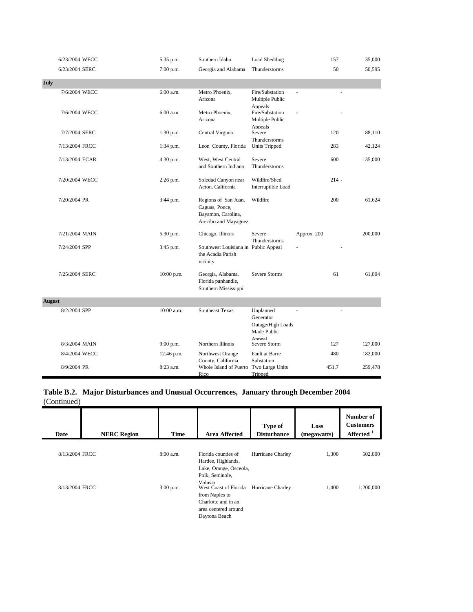|               | 6/23/2004 WECC | 5:35 p.m.   | Southern Idaho                                            | Load Shedding                       |             | 157     | 35,000  |
|---------------|----------------|-------------|-----------------------------------------------------------|-------------------------------------|-------------|---------|---------|
|               | 6/23/2004 SERC | 7:00 p.m.   | Georgia and Alabama                                       | Thunderstorms                       |             | 50      | 50,595  |
| <b>July</b>   |                |             |                                                           |                                     |             |         |         |
|               | 7/6/2004 WECC  | 6:00 a.m.   | Metro Phoenix,                                            | Fire/Substation                     |             |         |         |
|               |                |             | Arizona                                                   | Multiple Public                     |             |         |         |
|               |                |             |                                                           | Appeals                             |             |         |         |
|               | 7/6/2004 WECC  | 6:00 a.m.   | Metro Phoenix,                                            | Fire/Substation                     |             |         |         |
|               |                |             | Arizona                                                   | Multiple Public<br>Appeals          |             |         |         |
|               | 7/7/2004 SERC  | $1:30$ p.m. | Central Virginia                                          | Severe                              |             | 120     | 88,110  |
|               |                |             |                                                           | Thunderstorms                       |             |         |         |
|               | 7/13/2004 FRCC | $1:34$ p.m. | Leon County, Florida                                      | Units Tripped                       |             | 283     | 42,124  |
|               | 7/13/2004 ECAR | 4:30 p.m.   | West, West Central                                        | Severe                              |             | 600     | 135,000 |
|               |                |             | and Southern Indiana                                      | Thunderstorms                       |             |         |         |
|               |                |             |                                                           |                                     |             |         |         |
|               | 7/20/2004 WECC | 2:26 p.m.   | Soledad Canyon near<br>Acton, California                  | Wildfire/Shed<br>Interruptible Load |             | $214 -$ |         |
|               |                |             |                                                           |                                     |             |         |         |
|               | 7/20/2004 PR   | 3:44 p.m.   | Regions of San Juan,                                      | Wildfire                            |             | 200     | 61,624  |
|               |                |             | Caguas, Ponce,                                            |                                     |             |         |         |
|               |                |             | Bayamon, Carolina,                                        |                                     |             |         |         |
|               |                |             | Arecibo and Mayaguez                                      |                                     |             |         |         |
|               | 7/21/2004 MAIN | 5:30 p.m.   | Chicago, Illinois                                         | Severe                              | Approx. 200 |         | 200,000 |
|               |                |             |                                                           | Thunderstorms                       |             |         |         |
|               | 7/24/2004 SPP  | 3:45 p.m.   | Southwest Louisiana in Public Appeal<br>the Acadia Parish |                                     |             |         |         |
|               |                |             | vicinity                                                  |                                     |             |         |         |
|               |                |             |                                                           |                                     |             |         |         |
|               | 7/25/2004 SERC | 10:00 p.m.  | Georgia, Alabama,                                         | Severe Storms                       |             | 61      | 61,004  |
|               |                |             | Florida panhandle,                                        |                                     |             |         |         |
|               |                |             | Southern Mississippi                                      |                                     |             |         |         |
| <b>August</b> |                |             |                                                           |                                     |             |         |         |
|               | 8/2/2004 SPP   | 10:00 a.m.  | Southeast Texas                                           | Unplanned                           |             |         |         |
|               |                |             |                                                           | Generator                           |             |         |         |
|               |                |             |                                                           | Outage/High Loads                   |             |         |         |
|               |                |             |                                                           | Made Public<br>Anneal               |             |         |         |
|               | 8/3/2004 MAIN  | 9:00 p.m.   | Northern Illinois                                         | Severe Storm                        |             | 127     | 127,000 |
|               | 8/4/2004 WECC  | 12:46 p.m.  | Northwest Orange                                          | Fault at Barre                      |             | 480     | 182,000 |
|               |                |             | County, California                                        | Substation                          |             |         |         |
|               | 8/9/2004 PR    | 8:23 a.m.   | Whole Island of Puerto Two Large Units                    |                                     |             | 451.7   | 259,478 |
|               |                |             | Rico                                                      | Tripped                             |             |         |         |

|             | Table B.2. Major Disturbances and Unusual Occurrences, January through December 2004 |  |  |  |
|-------------|--------------------------------------------------------------------------------------|--|--|--|
| (Continued) |                                                                                      |  |  |  |
|             |                                                                                      |  |  |  |

| Date           | <b>NERC Region</b> | <b>Time</b> | <b>Area Affected</b>                                                                                    | <b>Type of</b><br><b>Disturbance</b> | Loss<br>(megawatts) | Number of<br><b>Customers</b><br>Affected <sup>1</sup> |
|----------------|--------------------|-------------|---------------------------------------------------------------------------------------------------------|--------------------------------------|---------------------|--------------------------------------------------------|
| 8/13/2004 FRCC |                    | $8:00$ a.m. | Florida counties of<br>Hardee, Highlands,<br>Lake, Orange, Osceola,<br>Polk, Seminole,<br>Volusia       | Hurricane Charley                    | 1,300               | 502,000                                                |
| 8/13/2004 FRCC |                    | $3:00$ p.m. | West Coast of Florida<br>from Naples to<br>Charlotte and in an<br>area centered around<br>Daytona Beach | Hurricane Charley                    | 1,400               | 1,200,000                                              |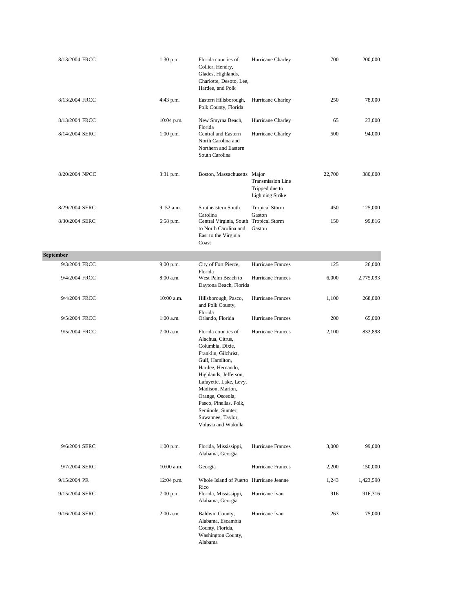| 8/13/2004 FRCC | 1:30 p.m.   | Florida counties of<br>Collier, Hendry,<br>Glades, Highlands,<br>Charlotte, Desoto, Lee,<br>Hardee, and Polk                                                                                                                                                                                                      | Hurricane Charley                                                     | 700    | 200,000   |
|----------------|-------------|-------------------------------------------------------------------------------------------------------------------------------------------------------------------------------------------------------------------------------------------------------------------------------------------------------------------|-----------------------------------------------------------------------|--------|-----------|
| 8/13/2004 FRCC | 4:43 p.m.   | Eastern Hillsborough,<br>Polk County, Florida                                                                                                                                                                                                                                                                     | Hurricane Charley                                                     | 250    | 78,000    |
| 8/13/2004 FRCC | 10:04 p.m.  | New Smyrna Beach,                                                                                                                                                                                                                                                                                                 | Hurricane Charley                                                     | 65     | 23,000    |
| 8/14/2004 SERC | 1:00 p.m.   | Florida<br>Central and Eastern<br>North Carolina and<br>Northern and Eastern<br>South Carolina                                                                                                                                                                                                                    | Hurricane Charley                                                     | 500    | 94,000    |
| 8/20/2004 NPCC | 3:31 p.m.   | Boston, Massachusetts Major                                                                                                                                                                                                                                                                                       | <b>Transmission Line</b><br>Tripped due to<br><b>Lightning Strike</b> | 22,700 | 380,000   |
| 8/29/2004 SERC | 9:52 a.m.   | Southeastern South<br>Carolina                                                                                                                                                                                                                                                                                    | <b>Tropical Storm</b><br>Gaston                                       | 450    | 125,000   |
| 8/30/2004 SERC | 6:58 p.m.   | Central Virginia, South Tropical Storm<br>to North Carolina and<br>East to the Virginia<br>Coast                                                                                                                                                                                                                  | Gaston                                                                | 150    | 99,816    |
| September      |             |                                                                                                                                                                                                                                                                                                                   |                                                                       |        |           |
| 9/3/2004 FRCC  | 9:00 p.m.   | City of Fort Pierce,                                                                                                                                                                                                                                                                                              | Hurricane Frances                                                     | 125    | 26,000    |
| 9/4/2004 FRCC  | 8:00 a.m.   | Florida<br>West Palm Beach to<br>Daytona Beach, Florida                                                                                                                                                                                                                                                           | Hurricane Frances                                                     | 6,000  | 2,775,093 |
| 9/4/2004 FRCC  | 10:00 a.m.  | Hillsborough, Pasco,<br>and Polk County,<br>Florida                                                                                                                                                                                                                                                               | Hurricane Frances                                                     | 1,100  | 268,000   |
| 9/5/2004 FRCC  | 1:00 a.m.   | Orlando, Florida                                                                                                                                                                                                                                                                                                  | Hurricane Frances                                                     | 200    | 65,000    |
| 9/5/2004 FRCC  | 7:00 a.m.   | Florida counties of<br>Alachua, Citrus,<br>Columbia, Dixie,<br>Franklin, Gilchrist,<br>Gulf, Hamilton,<br>Hardee, Hernando,<br>Highlands, Jefferson,<br>Lafayette, Lake, Levy,<br>Madison, Marion,<br>Orange, Osceola,<br>Pasco, Pinellas, Polk,<br>Seminole, Sumter,<br>Suwannee, Taylor,<br>Volusia and Wakulla | Hurricane Frances                                                     | 2,100  | 832,898   |
| 9/6/2004 SERC  | $1:00$ p.m. | Florida, Mississippi,<br>Alabama, Georgia                                                                                                                                                                                                                                                                         | Hurricane Frances                                                     | 3,000  | 99,000    |
| 9/7/2004 SERC  | 10:00 a.m.  | Georgia                                                                                                                                                                                                                                                                                                           | Hurricane Frances                                                     | 2,200  | 150,000   |
| 9/15/2004 PR   | 12:04 p.m.  | Whole Island of Puerto Hurricane Jeanne                                                                                                                                                                                                                                                                           |                                                                       | 1,243  | 1,423,590 |
| 9/15/2004 SERC | 7:00 p.m.   | Rico<br>Florida, Mississippi,<br>Alabama, Georgia                                                                                                                                                                                                                                                                 | Hurricane Ivan                                                        | 916    | 916,316   |
| 9/16/2004 SERC | 2:00 a.m.   | Baldwin County,<br>Alabama, Escambia<br>County, Florida,<br>Washington County,<br>Alabama                                                                                                                                                                                                                         | Hurricane Ivan                                                        | 263    | 75,000    |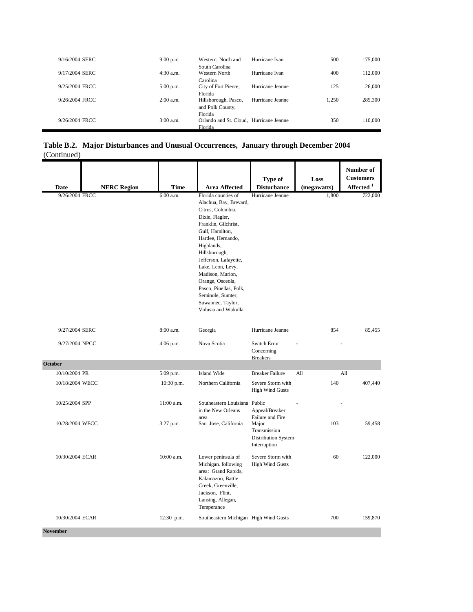| 9/16/2004 SERC | $9:00$ p.m. | Western North and                       | Hurricane Ivan   | 500   | 175,000 |
|----------------|-------------|-----------------------------------------|------------------|-------|---------|
|                |             | South Carolina                          |                  |       |         |
| 9/17/2004 SERC | $4:30$ a.m. | Western North<br>Carolina               | Hurricane Ivan   | 400   | 112,000 |
| 9/25/2004 FRCC | $5:00$ p.m. | City of Fort Pierce,                    | Hurricane Jeanne | 125   | 26,000  |
|                |             | Florida                                 |                  |       |         |
| 9/26/2004 FRCC | $2:00$ a.m. | Hillsborough, Pasco,                    | Hurricane Jeanne | 1.250 | 285,300 |
|                |             | and Polk County,<br>Florida             |                  |       |         |
| 9/26/2004 FRCC | $3:00$ a.m. | Orlando and St. Cloud, Hurricane Jeanne |                  | 350   | 110,000 |
|                |             | Florida                                 |                  |       |         |

**Table B.2. Major Disturbances and Unusual Occurrences, January through December 2004** (Continued)

| 9/26/2004 FRCC  | <b>Time</b> | <b>Area Affected</b>                                                                                                                                                                                                                                                                                                                                                  | Type of<br><b>Disturbance</b>                                | Loss<br>(megawatts) | <b>Customers</b><br>Affected <sup>1</sup> |
|-----------------|-------------|-----------------------------------------------------------------------------------------------------------------------------------------------------------------------------------------------------------------------------------------------------------------------------------------------------------------------------------------------------------------------|--------------------------------------------------------------|---------------------|-------------------------------------------|
|                 | 6:00 a.m.   | Florida counties of<br>Alachua, Bay, Brevard,<br>Citrus, Columbia,<br>Dixie, Flagler,<br>Franklin, Gilchrist,<br>Gulf, Hamilton,<br>Hardee, Hernando,<br>Highlands,<br>Hillsborough,<br>Jefferson, Lafayette,<br>Lake, Leon, Levy,<br>Madison, Marion,<br>Orange, Osceola,<br>Pasco, Pinellas, Polk,<br>Seminole, Sumter,<br>Suwannee, Taylor,<br>Volusia and Wakulla | Hurricane Jeanne                                             | 1,800               | 722,000                                   |
| 9/27/2004 SERC  | 8:00 a.m.   | Georgia                                                                                                                                                                                                                                                                                                                                                               | Hurricane Jeanne                                             | 854                 | 85,455                                    |
| 9/27/2004 NPCC  | $4:06$ p.m. | Nova Scotia                                                                                                                                                                                                                                                                                                                                                           | <b>Switch Error</b><br>Concerning<br><b>Breakers</b>         |                     |                                           |
| <b>October</b>  |             |                                                                                                                                                                                                                                                                                                                                                                       |                                                              |                     |                                           |
| 10/10/2004 PR   | 5:09 p.m.   | <b>Island Wide</b>                                                                                                                                                                                                                                                                                                                                                    | <b>Breaker Failure</b>                                       | All                 | All                                       |
| 10/18/2004 WECC | 10:30 p.m.  | Northern California                                                                                                                                                                                                                                                                                                                                                   | Severe Storm with<br><b>High Wind Gusts</b>                  | 140                 | 407,440                                   |
| 10/25/2004 SPP  | 11:00 a.m.  | Southeastern Louisiana Public<br>in the New Orleans<br>area                                                                                                                                                                                                                                                                                                           | Appeal/Breaker<br>Failure and Fire                           |                     |                                           |
| 10/28/2004 WECC | 3:27 p.m.   | San Jose, California                                                                                                                                                                                                                                                                                                                                                  | Major<br>Transmission<br>Distribution System<br>Interruption | 103                 | 59,458                                    |
| 10/30/2004 ECAR | 10:00 a.m.  | Lower peninsula of<br>Michigan. following<br>area: Grand Rapids,<br>Kalamazoo, Battle<br>Creek, Greenville,<br>Jackson, Flint,<br>Lansing, Allegan,<br>Temperance                                                                                                                                                                                                     | Severe Storm with<br><b>High Wind Gusts</b>                  | 60                  | 122,000                                   |
| 10/30/2004 ECAR | 12:30 p.m.  | Southeastern Michigan High Wind Gusts                                                                                                                                                                                                                                                                                                                                 |                                                              | 700                 | 159,870                                   |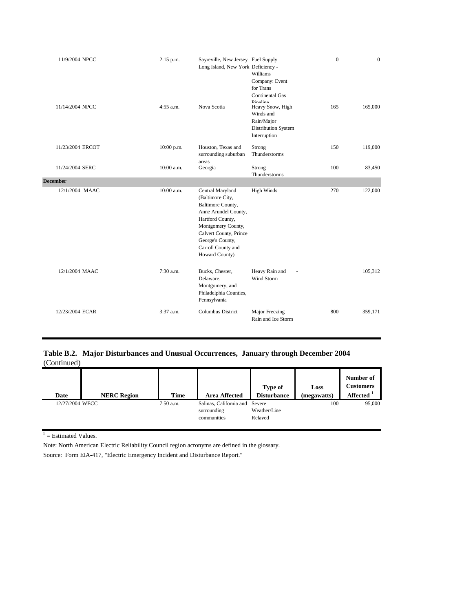| 11/9/2004 NPCC   | $2:15$ p.m. | Sayreville, New Jersey Fuel Supply<br>Long Island, New York Deficiency -                                                                                                                                          | Williams<br>Company: Event<br>for Trans<br>Continental Gas                                     | $\mathbf{0}$ | $\mathbf{0}$ |
|------------------|-------------|-------------------------------------------------------------------------------------------------------------------------------------------------------------------------------------------------------------------|------------------------------------------------------------------------------------------------|--------------|--------------|
| 11/14/2004 NPCC  | 4:55 a.m.   | Nova Scotia                                                                                                                                                                                                       | Dinalina<br>Heavy Snow, High<br>Winds and<br>Rain/Major<br>Distribution System<br>Interruption | 165          | 165,000      |
| 11/23/2004 ERCOT | 10:00 p.m.  | Houston, Texas and<br>surrounding suburban<br>areas                                                                                                                                                               | Strong<br>Thunderstorms                                                                        | 150          | 119,000      |
| 11/24/2004 SERC  | 10:00 a.m.  | Georgia                                                                                                                                                                                                           | Strong<br>Thunderstorms                                                                        | 100          | 83,450       |
| December         |             |                                                                                                                                                                                                                   |                                                                                                |              |              |
| 12/1/2004 MAAC   | 10:00 a.m.  | Central Maryland<br>(Baltimore City,<br>Baltimore County,<br>Anne Arundel County,<br>Hartford County,<br>Montgomery County,<br>Calvert County, Prince<br>George's County,<br>Carroll County and<br>Howard County) | <b>High Winds</b>                                                                              | 270          | 122,000      |
| 12/1/2004 MAAC   | 7:30 a.m.   | Bucks, Chester,<br>Delaware,<br>Montgomery, and<br>Philadelphia Counties,<br>Pennsylvania                                                                                                                         | Heavy Rain and<br>Wind Storm                                                                   |              | 105,312      |
| 12/23/2004 ECAR  | 3:37 a.m.   | <b>Columbus District</b>                                                                                                                                                                                          | Major Freezing<br>Rain and Ice Storm                                                           | 800          | 359,171      |

## **Table B.2. Major Disturbances and Unusual Occurrences, January through December 2004** (Continued)



 $1 =$  Estimated Values.

Note: North American Electric Reliability Council region acronyms are defined in the glossary. Source: Form EIA-417, "Electric Emergency Incident and Disturbance Report."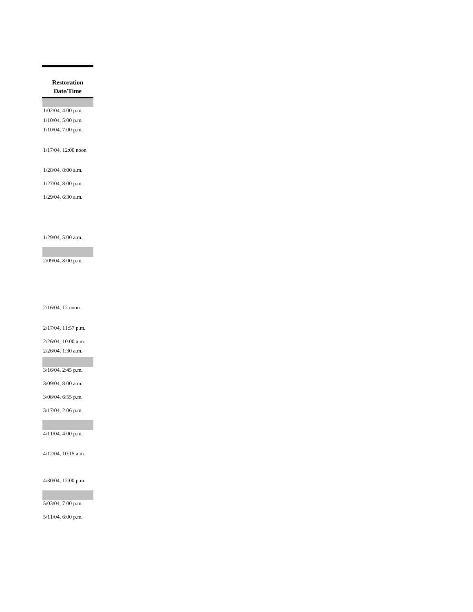## **Restoration Date/Time**

1/02/04, 4:00 p.m. 1/10/04, 5:00 p.m. 1/10/04, 7:00 p.m.

1/17/04, 12:00 noon

1/28/04, 8:00 a.m.

1/27/04, 8:00 p.m.

1/29/04, 6:30 a.m.

## 1/29/04, 5:00 a.m.

2/09/04, 8:00 p.m.

2/16/04, 12 noon

2/17/04, 11:57 p.m.

2/26/04, 10:00 a.m.

2/26/04, 1:30 a.m.

3/16/04, 2:45 p.m.

3/09/04, 8:00 a.m.

3/08/04, 6:55 p.m.

3/17/04, 2:06 p.m.

4/11/04, 4:00 p.m.

4/12/04, 10:15 a.m.

## 4/30/04, 12:00 p.m.

5/03/04, 7:00 p.m.

5/11/04, 6:00 p.m.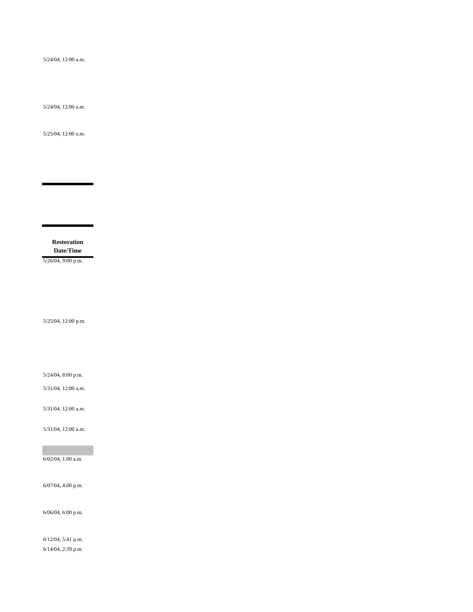5/24/04, 12:00 a.m.

5/24/04, 12:00 a.m.

5/25/04, 12:00 a.m.

**Restoration Date/Time**

5/26/04, 9:00 p.m.

5/25/04, 12:00 p.m.

5/24/04, 8:00 p.m.

5/31/04, 12:00 a.m.

5/31/04, 12:00 a.m.

5/31/04, 12:00 a.m.

6/02/04, 1:00 a.m.

6/07/04, 4:00 p.m.

6/06/04, 6:00 p.m.

6/12/04, 5:41 p.m. 6/14/04, 2:39 p.m.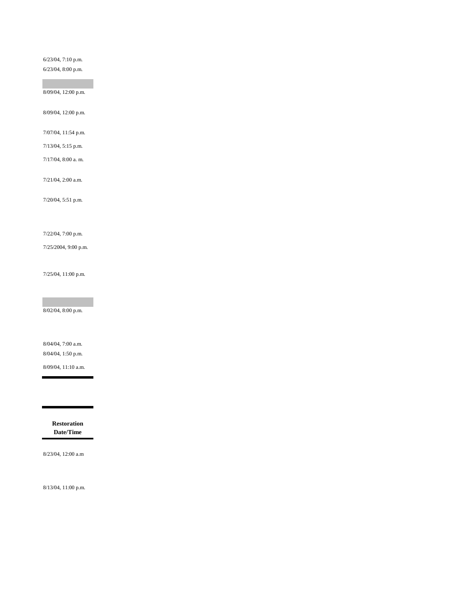6/23/04, 7:10 p.m. 6/23/04, 8:00 p.m.

8/09/04, 12:00 p.m.

8/09/04, 12:00 p.m.

7/07/04, 11:54 p.m.

7/13/04, 5:15 p.m.

7/17/04, 8:00 a. m.

7/21/04, 2:00 a.m.

7/20/04, 5:51 p.m.

7/22/04, 7:00 p.m.

7/25/2004, 9:00 p.m.

7/25/04, 11:00 p.m.

8/02/04, 8:00 p.m.

8/04/04, 7:00 a.m. 8/04/04, 1:50 p.m.

8/09/04, 11:10 a.m.

**Restoration Date/Time**

8/23/04, 12:00 a.m

8/13/04, 11:00 p.m.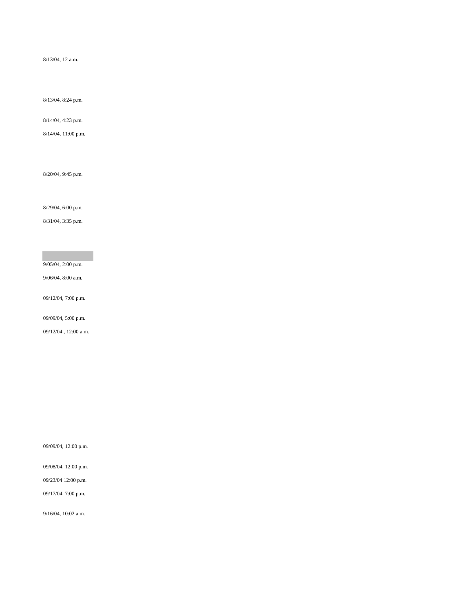8/13/04, 12 a.m.

8/13/04, 8:24 p.m.

8/14/04, 4:23 p.m.

8/14/04, 11:00 p.m.

8/20/04, 9:45 p.m.

8/29/04, 6:00 p.m.

8/31/04, 3:35 p.m.

9/05/04, 2:00 p.m.

9/06/04, 8:00 a.m.

09/12/04, 7:00 p.m.

09/09/04, 5:00 p.m.

09/12/04 , 12:00 a.m.

09/09/04, 12:00 p.m.

09/08/04, 12:00 p.m.

09/23/04 12:00 p.m.

09/17/04, 7:00 p.m.

9/16/04, 10:02 a.m.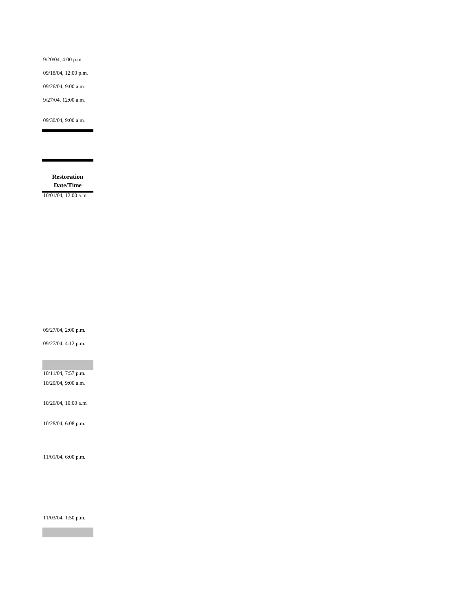9/20/04, 4:00 p.m.

09/18/04, 12:00 p.m.

09/26/04, 9:00 a.m.

9/27/04, 12:00 a.m.

09/30/04, 9:00 a.m.

**Restoration Date/Time**

10/01/04, 12:00 a.m.

09/27/04, 2:00 p.m.

09/27/04, 4:12 p.m.

10/11/04, 7:57 p.m. 10/20/04, 9:00 a.m.

10/26/04, 10:00 a.m.

10/28/04, 6:08 p.m.

11/01/04, 6:00 p.m.

11/03/04, 1:50 p.m.